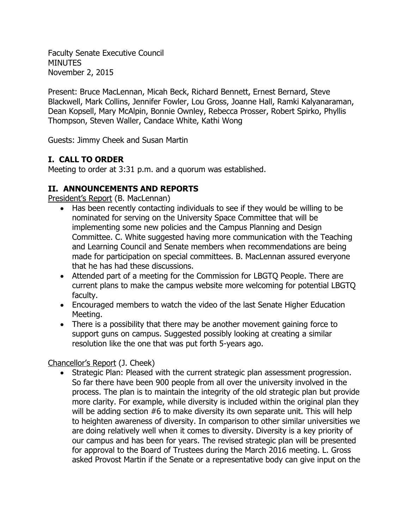Faculty Senate Executive Council **MINUTES** November 2, 2015

Present: Bruce MacLennan, Micah Beck, Richard Bennett, Ernest Bernard, Steve Blackwell, Mark Collins, Jennifer Fowler, Lou Gross, Joanne Hall, Ramki Kalyanaraman, Dean Kopsell, Mary McAlpin, Bonnie Ownley, Rebecca Prosser, Robert Spirko, Phyllis Thompson, Steven Waller, Candace White, Kathi Wong

Guests: Jimmy Cheek and Susan Martin

# **I. CALL TO ORDER**

Meeting to order at 3:31 p.m. and a quorum was established.

# **II. ANNOUNCEMENTS AND REPORTS**

President's Report (B. MacLennan)

- Has been recently contacting individuals to see if they would be willing to be nominated for serving on the University Space Committee that will be implementing some new policies and the Campus Planning and Design Committee. C. White suggested having more communication with the Teaching and Learning Council and Senate members when recommendations are being made for participation on special committees. B. MacLennan assured everyone that he has had these discussions.
- Attended part of a meeting for the Commission for LBGTQ People. There are current plans to make the campus website more welcoming for potential LBGTQ faculty.
- Encouraged members to watch the video of the last Senate Higher Education Meeting.
- There is a possibility that there may be another movement gaining force to support guns on campus. Suggested possibly looking at creating a similar resolution like the one that was put forth 5-years ago.

## Chancellor's Report (J. Cheek)

• Strategic Plan: Pleased with the current strategic plan assessment progression. So far there have been 900 people from all over the university involved in the process. The plan is to maintain the integrity of the old strategic plan but provide more clarity. For example, while diversity is included within the original plan they will be adding section #6 to make diversity its own separate unit. This will help to heighten awareness of diversity. In comparison to other similar universities we are doing relatively well when it comes to diversity. Diversity is a key priority of our campus and has been for years. The revised strategic plan will be presented for approval to the Board of Trustees during the March 2016 meeting. L. Gross asked Provost Martin if the Senate or a representative body can give input on the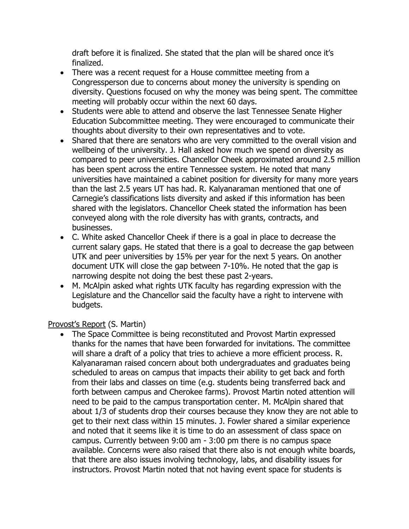draft before it is finalized. She stated that the plan will be shared once it's finalized.

- There was a recent request for a House committee meeting from a Congressperson due to concerns about money the university is spending on diversity. Questions focused on why the money was being spent. The committee meeting will probably occur within the next 60 days.
- Students were able to attend and observe the last Tennessee Senate Higher Education Subcommittee meeting. They were encouraged to communicate their thoughts about diversity to their own representatives and to vote.
- Shared that there are senators who are very committed to the overall vision and wellbeing of the university. J. Hall asked how much we spend on diversity as compared to peer universities. Chancellor Cheek approximated around 2.5 million has been spent across the entire Tennessee system. He noted that many universities have maintained a cabinet position for diversity for many more years than the last 2.5 years UT has had. R. Kalyanaraman mentioned that one of Carnegie's classifications lists diversity and asked if this information has been shared with the legislators. Chancellor Cheek stated the information has been conveyed along with the role diversity has with grants, contracts, and businesses.
- C. White asked Chancellor Cheek if there is a goal in place to decrease the current salary gaps. He stated that there is a goal to decrease the gap between UTK and peer universities by 15% per year for the next 5 years. On another document UTK will close the gap between 7-10%. He noted that the gap is narrowing despite not doing the best these past 2-years.
- M. McAlpin asked what rights UTK faculty has regarding expression with the Legislature and the Chancellor said the faculty have a right to intervene with budgets.

#### Provost's Report (S. Martin)

• The Space Committee is being reconstituted and Provost Martin expressed thanks for the names that have been forwarded for invitations. The committee will share a draft of a policy that tries to achieve a more efficient process. R. Kalyanaraman raised concern about both undergraduates and graduates being scheduled to areas on campus that impacts their ability to get back and forth from their labs and classes on time (e.g. students being transferred back and forth between campus and Cherokee farms). Provost Martin noted attention will need to be paid to the campus transportation center. M. McAlpin shared that about 1/3 of students drop their courses because they know they are not able to get to their next class within 15 minutes. J. Fowler shared a similar experience and noted that it seems like it is time to do an assessment of class space on campus. Currently between 9:00 am - 3:00 pm there is no campus space available. Concerns were also raised that there also is not enough white boards, that there are also issues involving technology, labs, and disability issues for instructors. Provost Martin noted that not having event space for students is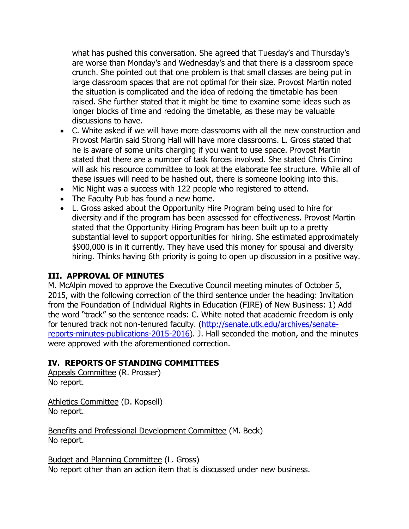what has pushed this conversation. She agreed that Tuesday's and Thursday's are worse than Monday's and Wednesday's and that there is a classroom space crunch. She pointed out that one problem is that small classes are being put in large classroom spaces that are not optimal for their size. Provost Martin noted the situation is complicated and the idea of redoing the timetable has been raised. She further stated that it might be time to examine some ideas such as longer blocks of time and redoing the timetable, as these may be valuable discussions to have.

- C. White asked if we will have more classrooms with all the new construction and Provost Martin said Strong Hall will have more classrooms. L. Gross stated that he is aware of some units charging if you want to use space. Provost Martin stated that there are a number of task forces involved. She stated Chris Cimino will ask his resource committee to look at the elaborate fee structure. While all of these issues will need to be hashed out, there is someone looking into this.
- Mic Night was a success with 122 people who registered to attend.
- The Faculty Pub has found a new home.
- L. Gross asked about the Opportunity Hire Program being used to hire for diversity and if the program has been assessed for effectiveness. Provost Martin stated that the Opportunity Hiring Program has been built up to a pretty substantial level to support opportunities for hiring. She estimated approximately \$900,000 is in it currently. They have used this money for spousal and diversity hiring. Thinks having 6th priority is going to open up discussion in a positive way.

## **III. APPROVAL OF MINUTES**

M. McAlpin moved to approve the Executive Council meeting minutes of October 5, 2015, with the following correction of the third sentence under the heading: Invitation from the Foundation of Individual Rights in Education (FIRE) of New Business: 1) Add the word "track" so the sentence reads: C. White noted that academic freedom is only for tenured track not non-tenured faculty. [\(http://senate.utk.edu/archives/senate](http://senate.utk.edu/archives/senate-reports-minutes-publications-2015-2016)[reports-minutes-publications-2015-2016\)](http://senate.utk.edu/archives/senate-reports-minutes-publications-2015-2016). J. Hall seconded the motion, and the minutes were approved with the aforementioned correction.

## **IV. REPORTS OF STANDING COMMITTEES**

Appeals Committee (R. Prosser) No report.

Athletics Committee (D. Kopsell) No report.

Benefits and Professional Development Committee (M. Beck) No report.

Budget and Planning Committee (L. Gross) No report other than an action item that is discussed under new business.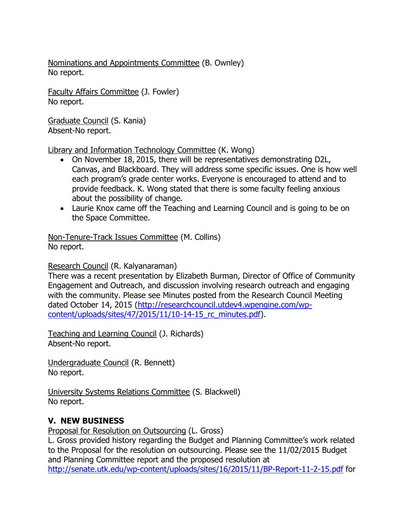Nominations and Appointments Committee (B. Ownley) No report.

Faculty Affairs Committee (J. Fowler) No report.

Graduate Council (S. Kania) Absent-No report.

Library and Information Technology Committee (K. Wong)

- On November 18, 2015, there will be representatives demonstrating D2L, Canvas, and Blackboard. They will address some specific issues. One is how well each program's grade center works. Everyone is encouraged to attend and to provide feedback. K. Wong stated that there is some faculty feeling anxious about the possibility of change.
- Laurie Knox came off the Teaching and Learning Council and is going to be on the Space Committee.

Non-Tenure-Track Issues Committee (M. Collins) No report.

Research Council (R. Kalyanaraman)

There was a recent presentation by Elizabeth Burman, Director of Office of Community Engagement and Outreach, and discussion involving research outreach and engaging with the community. Please see Minutes posted from the Research Council Meeting dated October 14, 2015 [\(http://researchcouncil.utdev4.wpengine.com/wp](http://researchcouncil.utdev4.wpengine.com/wp-content/uploads/sites/47/2015/11/10-14-15_rc_minutes.pdf)[content/uploads/sites/47/2015/11/10-14-15\\_rc\\_minutes.pdf\)](http://researchcouncil.utdev4.wpengine.com/wp-content/uploads/sites/47/2015/11/10-14-15_rc_minutes.pdf).

Teaching and Learning Council (J. Richards) Absent-No report.

Undergraduate Council (R. Bennett) No report.

University Systems Relations Committee (S. Blackwell) No report.

## **V. NEW BUSINESS**

Proposal for Resolution on Outsourcing (L. Gross)

L. Gross provided history regarding the Budget and Planning Committee's work related to the Proposal for the resolution on outsourcing. Please see the 11/02/2015 Budget and Planning Committee report and the proposed resolution at <http://senate.utk.edu/wp-content/uploads/sites/16/2015/11/BP-Report-11-2-15.pdf> for